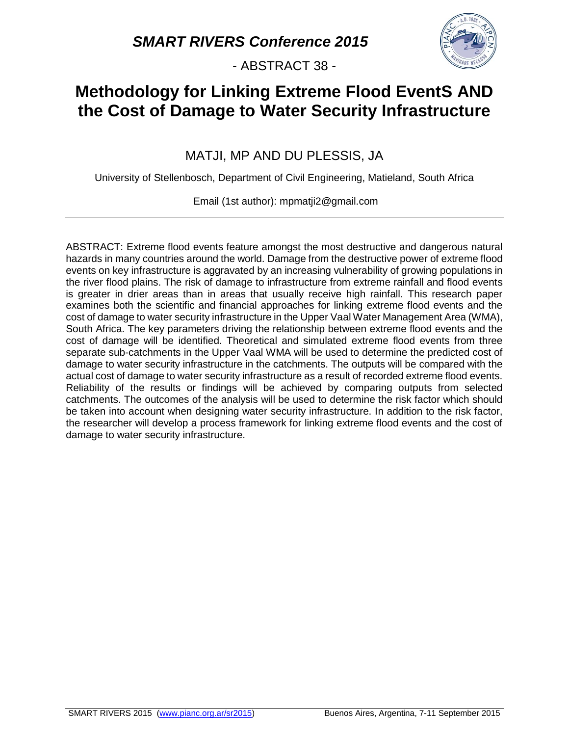- ABSTRACT 38 -



# **Methodology for Linking Extreme Flood EventS AND the Cost of Damage to Water Security Infrastructure**

MATJI, MP AND DU PLESSIS, JA

University of Stellenbosch, Department of Civil Engineering, Matieland, South Africa

Email (1st author): mpmatji2@gmail.com

ABSTRACT: Extreme flood events feature amongst the most destructive and dangerous natural hazards in many countries around the world. Damage from the destructive power of extreme flood events on key infrastructure is aggravated by an increasing vulnerability of growing populations in the river flood plains. The risk of damage to infrastructure from extreme rainfall and flood events is greater in drier areas than in areas that usually receive high rainfall. This research paper examines both the scientific and financial approaches for linking extreme flood events and the cost of damage to water security infrastructure in the Upper Vaal Water Management Area (WMA), South Africa. The key parameters driving the relationship between extreme flood events and the cost of damage will be identified. Theoretical and simulated extreme flood events from three separate sub-catchments in the Upper Vaal WMA will be used to determine the predicted cost of damage to water security infrastructure in the catchments. The outputs will be compared with the actual cost of damage to water security infrastructure as a result of recorded extreme flood events. Reliability of the results or findings will be achieved by comparing outputs from selected catchments. The outcomes of the analysis will be used to determine the risk factor which should be taken into account when designing water security infrastructure. In addition to the risk factor, the researcher will develop a process framework for linking extreme flood events and the cost of damage to water security infrastructure.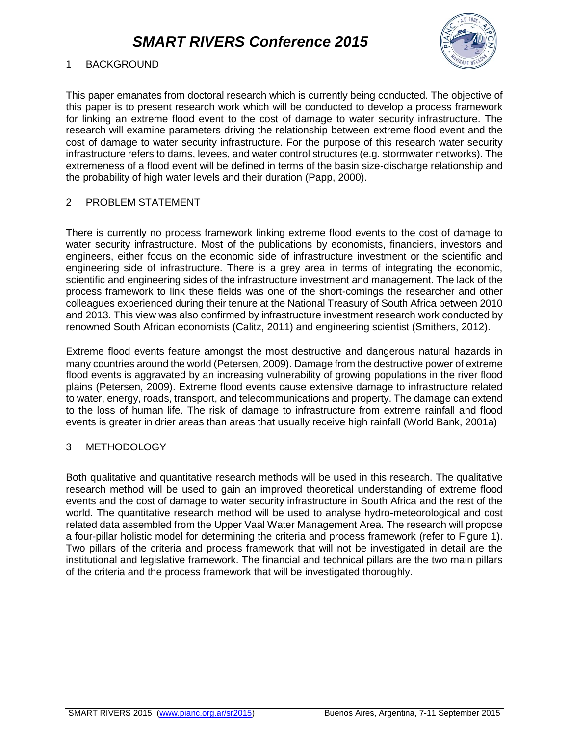

### 1 BACKGROUND

This paper emanates from doctoral research which is currently being conducted. The objective of this paper is to present research work which will be conducted to develop a process framework for linking an extreme flood event to the cost of damage to water security infrastructure. The research will examine parameters driving the relationship between extreme flood event and the cost of damage to water security infrastructure. For the purpose of this research water security infrastructure refers to dams, levees, and water control structures (e.g. stormwater networks). The extremeness of a flood event will be defined in terms of the basin size-discharge relationship and the probability of high water levels and their duration (Papp, 2000).

#### 2 PROBLEM STATEMENT

There is currently no process framework linking extreme flood events to the cost of damage to water security infrastructure. Most of the publications by economists, financiers, investors and engineers, either focus on the economic side of infrastructure investment or the scientific and engineering side of infrastructure. There is a grey area in terms of integrating the economic, scientific and engineering sides of the infrastructure investment and management. The lack of the process framework to link these fields was one of the short-comings the researcher and other colleagues experienced during their tenure at the National Treasury of South Africa between 2010 and 2013. This view was also confirmed by infrastructure investment research work conducted by renowned South African economists (Calitz, 2011) and engineering scientist (Smithers, 2012).

Extreme flood events feature amongst the most destructive and dangerous natural hazards in many countries around the world (Petersen, 2009). Damage from the destructive power of extreme flood events is aggravated by an increasing vulnerability of growing populations in the river flood plains (Petersen, 2009). Extreme flood events cause extensive damage to infrastructure related to water, energy, roads, transport, and telecommunications and property. The damage can extend to the loss of human life. The risk of damage to infrastructure from extreme rainfall and flood events is greater in drier areas than areas that usually receive high rainfall (World Bank, 2001a)

#### 3 METHODOLOGY

Both qualitative and quantitative research methods will be used in this research. The qualitative research method will be used to gain an improved theoretical understanding of extreme flood events and the cost of damage to water security infrastructure in South Africa and the rest of the world. The quantitative research method will be used to analyse hydro-meteorological and cost related data assembled from the Upper Vaal Water Management Area. The research will propose a four-pillar holistic model for determining the criteria and process framework (refer to Figure 1). Two pillars of the criteria and process framework that will not be investigated in detail are the institutional and legislative framework. The financial and technical pillars are the two main pillars of the criteria and the process framework that will be investigated thoroughly.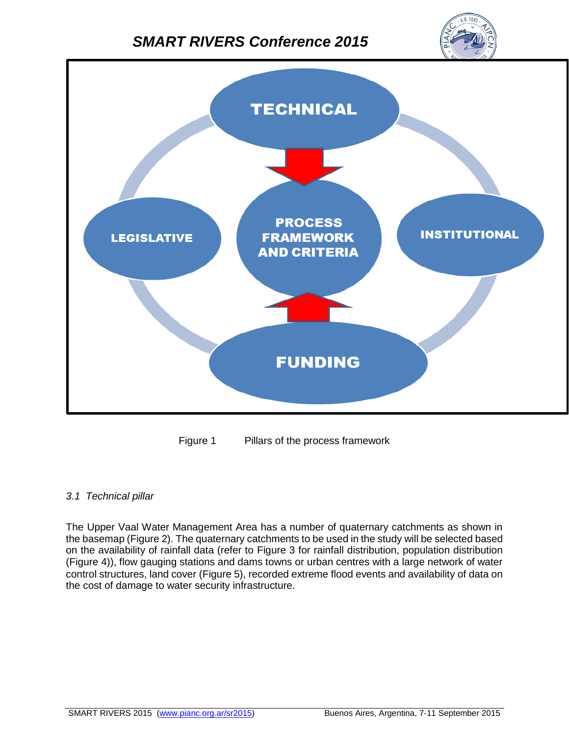



Figure 1 Pillars of the process framework

#### *3.1 Technical pillar*

The Upper Vaal Water Management Area has a number of quaternary catchments as shown in the basemap (Figure 2). The quaternary catchments to be used in the study will be selected based on the availability of rainfall data (refer to Figure 3 for rainfall distribution, population distribution (Figure 4)), flow gauging stations and dams towns or urban centres with a large network of water control structures, land cover (Figure 5), recorded extreme flood events and availability of data on the cost of damage to water security infrastructure.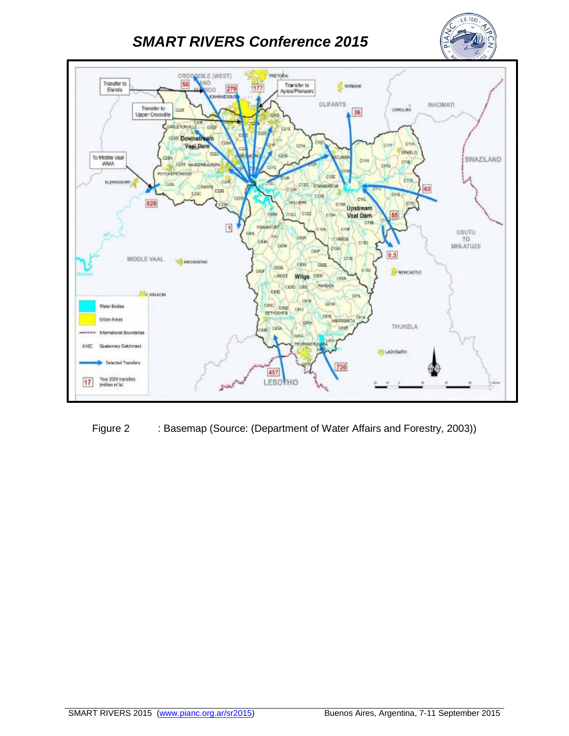



Figure 2 : Basemap (Source: (Department of Water Affairs and Forestry, 2003))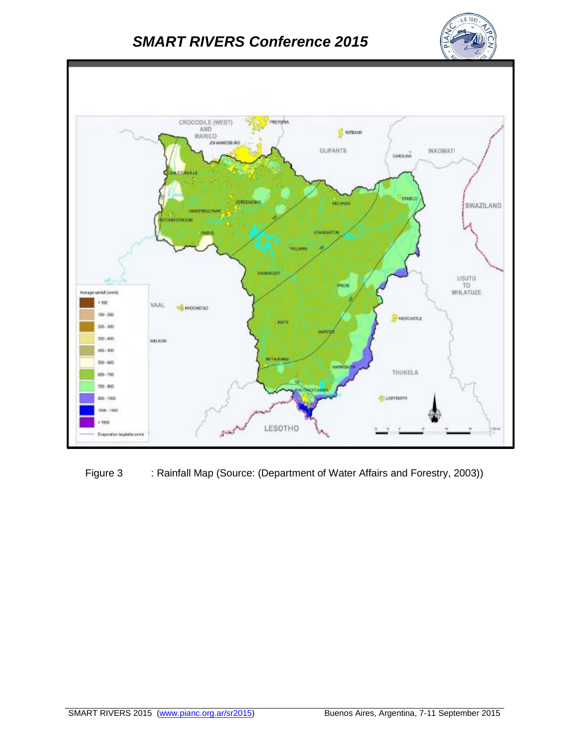



Figure 3 : Rainfall Map (Source: (Department of Water Affairs and Forestry, 2003))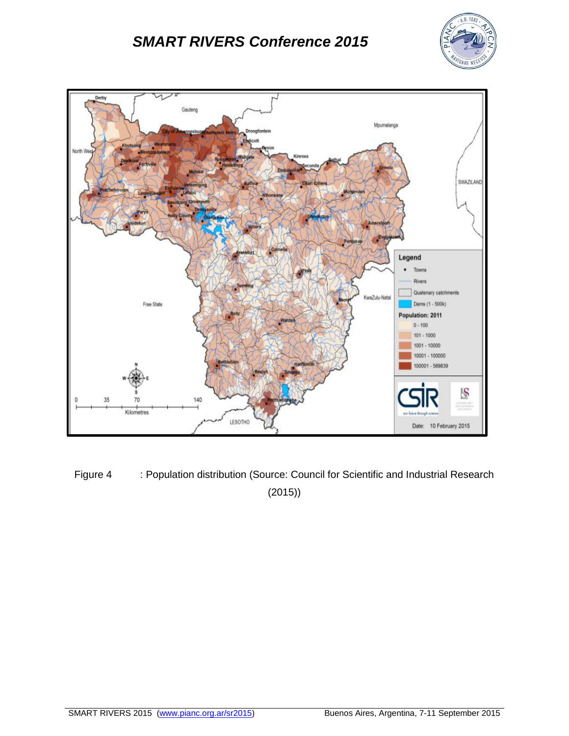



Figure 4 : Population distribution (Source: Council for Scientific and Industrial Research (2015))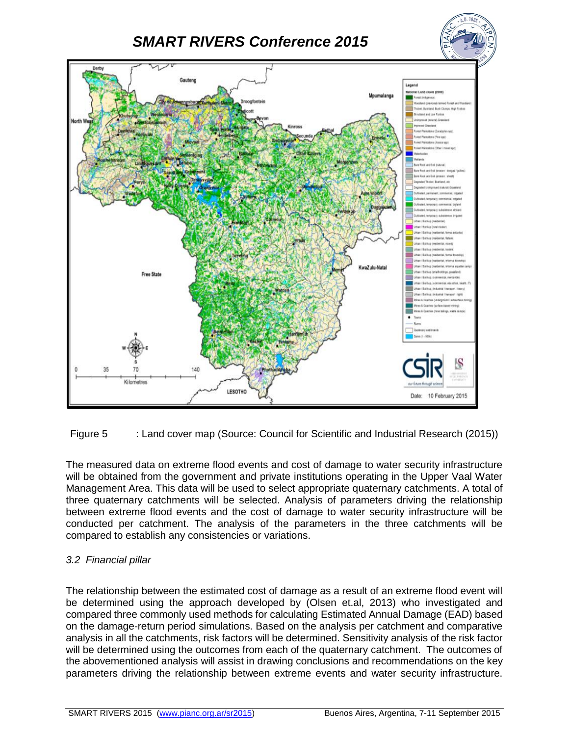

Figure 5 : Land cover map (Source: Council for Scientific and Industrial Research (2015))

The measured data on extreme flood events and cost of damage to water security infrastructure will be obtained from the government and private institutions operating in the Upper Vaal Water Management Area. This data will be used to select appropriate quaternary catchments. A total of three quaternary catchments will be selected. Analysis of parameters driving the relationship between extreme flood events and the cost of damage to water security infrastructure will be conducted per catchment. The analysis of the parameters in the three catchments will be compared to establish any consistencies or variations.

#### *3.2 Financial pillar*

The relationship between the estimated cost of damage as a result of an extreme flood event will be determined using the approach developed by (Olsen et.al, 2013) who investigated and compared three commonly used methods for calculating Estimated Annual Damage (EAD) based on the damage-return period simulations. Based on the analysis per catchment and comparative analysis in all the catchments, risk factors will be determined. Sensitivity analysis of the risk factor will be determined using the outcomes from each of the quaternary catchment. The outcomes of the abovementioned analysis will assist in drawing conclusions and recommendations on the key parameters driving the relationship between extreme events and water security infrastructure.